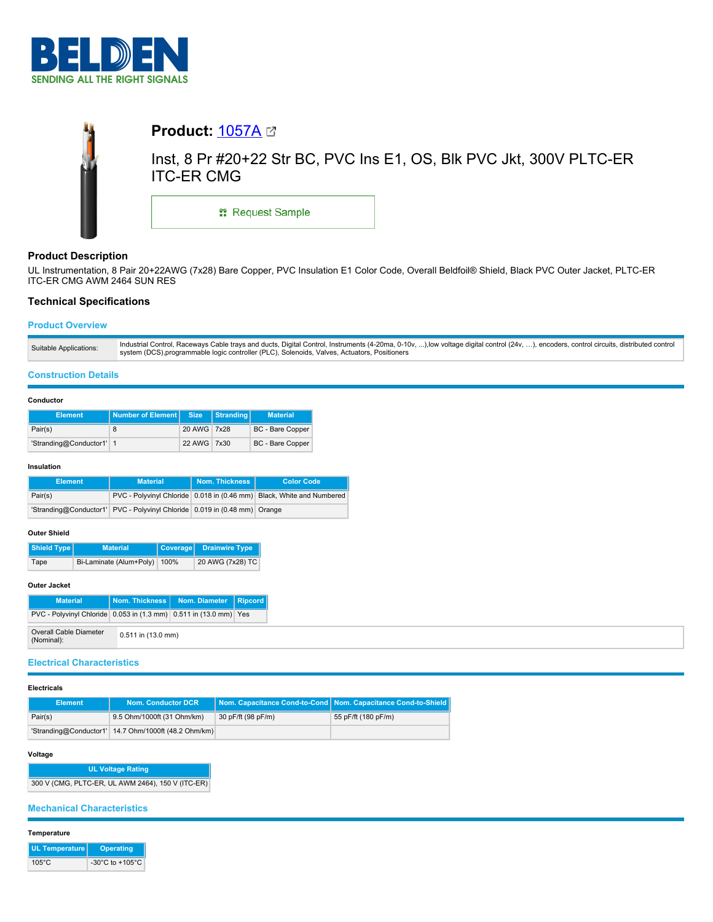



# **Product Description**

UL Instrumentation, 8 Pair 20+22AWG (7x28) Bare Copper, PVC Insulation E1 Color Code, Overall Beldfoil® Shield, Black PVC Outer Jacket, PLTC-ER ITC-ER CMG AWM 2464 SUN RES

## **Technical Specifications**

## **Product Overview**

### **Construction Details**

#### **Conductor**

| <b>Element</b>           | Number of Element Size |             | Stranding | <b>Material</b>         |
|--------------------------|------------------------|-------------|-----------|-------------------------|
| Pair(s)                  |                        | 20 AWG 7x28 |           | <b>BC</b> - Bare Copper |
| 'Stranding@Conductor1' 1 |                        | 22 AWG 7x30 |           | <b>BC</b> - Bare Copper |

#### **Insulation**

| <b>Element</b> | <b>Material</b>                                                           | Nom. Thickness I | <b>Color Code</b>                                                     |  |
|----------------|---------------------------------------------------------------------------|------------------|-----------------------------------------------------------------------|--|
| Pair(s)        |                                                                           |                  | PVC - Polyvinyl Chloride 0.018 in (0.46 mm) Black, White and Numbered |  |
|                | 'Stranding@Conductor1' PVC - Polyvinyl Chloride 0.019 in (0.48 mm) Orange |                  |                                                                       |  |

### **Outer Shield**

| Shield Type | <b>Material</b>         |      | Coverage Drainwire Type |  |
|-------------|-------------------------|------|-------------------------|--|
| Tape        | Bi-Laminate (Alum+Poly) | 100% | 20 AWG (7x28) TC        |  |

## **Outer Jacket**

| <b>Material</b>                                                   |                      | Nom. Thickness   Nom. Diameter   Ripcord |  |
|-------------------------------------------------------------------|----------------------|------------------------------------------|--|
| PVC - Polyvinyl Chloride 0.053 in (1.3 mm) 0.511 in (13.0 mm) Yes |                      |                                          |  |
| Overall Cable Diameter<br>(Nominal):                              | $0.511$ in (13.0 mm) |                                          |  |

## **Electrical Characteristics**

#### **Electricals**

| Element | <b>Nom. Conductor DCR</b>                            |                    | Nom. Capacitance Cond-to-Cond Nom. Capacitance Cond-to-Shield |
|---------|------------------------------------------------------|--------------------|---------------------------------------------------------------|
| Pair(s) | 9.5 Ohm/1000ft (31 Ohm/km)                           | 30 pF/ft (98 pF/m) | 55 pF/ft (180 pF/m)                                           |
|         | 'Stranding@Conductor1' 14.7 Ohm/1000ft (48.2 Ohm/km) |                    |                                                               |

## **Voltage**

**UL Voltage Rating** 300 V (CMG, PLTC-ER, UL AWM 2464), 150 V (ITC-ER)

## **Mechanical Characteristics**

### **Temperature**

| <b>UL Temperature</b> | <b>Operating</b>                      |
|-----------------------|---------------------------------------|
| $105^{\circ}$ C       | -30 $^{\circ}$ C to +105 $^{\circ}$ C |